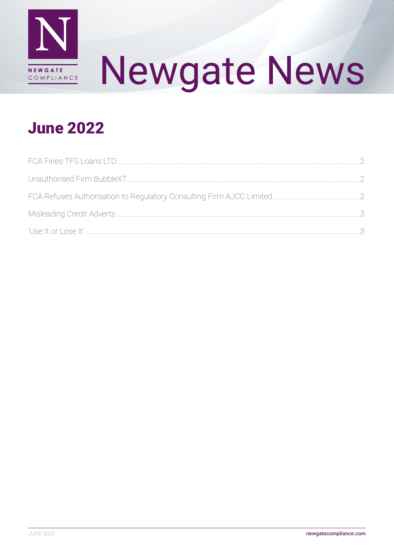

# **Newgate News**

# **June 2022**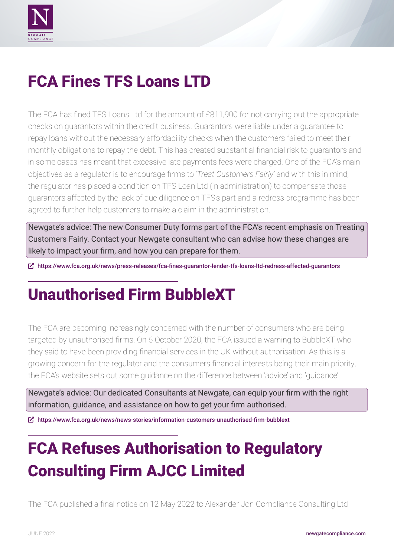<span id="page-1-0"></span>

# FCA Fines TFS Loans LTD

The FCA has fined TFS Loans Ltd for the amount of £811,900 for not carrying out the appropriate checks on guarantors within the credit business. Guarantors were liable under a guarantee to repay loans without the necessary affordability checks when the customers failed to meet their monthly obligations to repay the debt. This has created substantial financial risk to guarantors and in some cases has meant that excessive late payments fees were charged. One of the FCA's main objectives as a regulator is to encourage firms to *'Treat Customers Fairly'* and with this in mind, the regulator has placed a condition on TFS Loan Ltd (in administration) to compensate those guarantors affected by the lack of due diligence on TFS's part and a redress programme has been agreed to further help customers to make a claim in the administration.

Newgate's advice: The new Consumer Duty forms part of the FCA's recent emphasis on Treating Customers Fairly. Contact your Newgate consultant who can advise how these changes are likely to impact your firm, and how you can prepare for them.

ȧ <https://www.fca.org.uk/news/press-releases/fca-fines-guarantor-lender-tfs-loans-ltd-redress-affected-guarantors>

# Unauthorised Firm BubbleXT

The FCA are becoming increasingly concerned with the number of consumers who are being targeted by unauthorised firms. On 6 October 2020, the FCA issued a warning to BubbleXT who they said to have been providing financial services in the UK without authorisation. As this is a growing concern for the regulator and the consumers financial interests being their main priority, the FCA's website sets out some guidance on the difference between 'advice' and 'guidance'.

Newgate's advice: Our dedicated Consultants at Newgate, can equip your firm with the right information, guidance, and assistance on how to get your firm authorised.

ȧ <https://www.fca.org.uk/news/news-stories/information-customers-unauthorised-firm-bubblext>

# FCA Refuses Authorisation to Regulatory Consulting Firm AJCC Limited

The FCA published a final notice on 12 May 2022 to Alexander Jon Compliance Consulting Ltd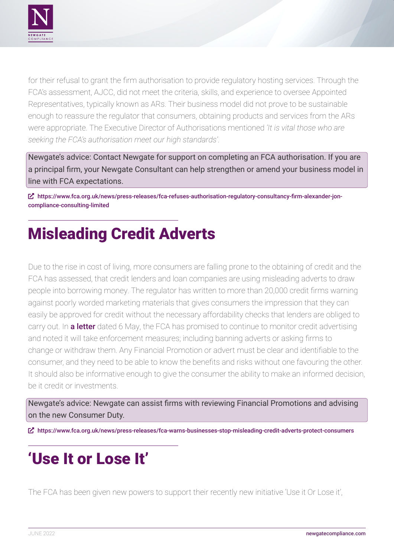<span id="page-2-0"></span>

for their refusal to grant the firm authorisation to provide regulatory hosting services. Through the FCA's assessment, AJCC, did not meet the criteria, skills, and experience to oversee Appointed Representatives, typically known as ARs. Their business model did not prove to be sustainable enough to reassure the regulator that consumers, obtaining products and services from the ARs were appropriate. The Executive Director of Authorisations mentioned *'It is vital those who are seeking the FCA's authorisation meet our high standards'*.

Newgate's advice: Contact Newgate for support on completing an FCA authorisation. If you are a principal firm, your Newgate Consultant can help strengthen or amend your business model in line with FCA expectations.

ȧ [https://www.fca.org.uk/news/press-releases/fca-refuses-authorisation-regulatory-consultancy-firm-alexander-jon](https://www.fca.org.uk/news/press-releases/fca-refuses-authorisation-regulatory-consultancy-firm-alexander-jon-compliance-consulting-limited)[compliance-consulting-limited](https://www.fca.org.uk/news/press-releases/fca-refuses-authorisation-regulatory-consultancy-firm-alexander-jon-compliance-consulting-limited)

# Misleading Credit Adverts

Due to the rise in cost of living, more consumers are falling prone to the obtaining of credit and the FCA has assessed, that credit lenders and loan companies are using misleading adverts to draw people into borrowing money. The regulator has written to more than 20,000 credit firms warning against poorly worded marketing materials that gives consumers the impression that they can easily be approved for credit without the necessary affordability checks that lenders are obliged to carry out. In [a letter](https://www.fca.org.uk/publication/correspondence/dear-ceo-ensure-your-financial-promotions-clear-fair-not-misleading.pdf) dated 6 May, the FCA has promised to continue to monitor credit advertising and noted it will take enforcement measures; including banning adverts or asking firms to change or withdraw them. Any Financial Promotion or advert must be clear and identifiable to the consumer, and they need to be able to know the benefits and risks without one favouring the other. It should also be informative enough to give the consumer the ability to make an informed decision, be it credit or investments.

Newgate's advice: Newgate can assist firms with reviewing Financial Promotions and advising on the new Consumer Duty.

ȧ <https://www.fca.org.uk/news/press-releases/fca-warns-businesses-stop-misleading-credit-adverts-protect-consumers>

# 'Use It or Lose It'

The FCA has been given new powers to support their recently new initiative 'Use it Or Lose it',